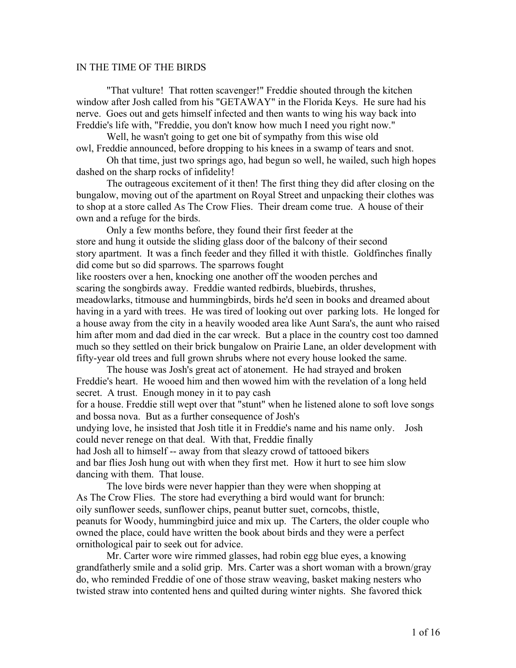## IN THE TIME OF THE BIRDS

"That vulture! That rotten scavenger!" Freddie shouted through the kitchen window after Josh called from his "GETAWAY" in the Florida Keys. He sure had his nerve. Goes out and gets himself infected and then wants to wing his way back into Freddie's life with, "Freddie, you don't know how much I need you right now."

Well, he wasn't going to get one bit of sympathy from this wise old owl, Freddie announced, before dropping to his knees in a swamp of tears and snot.

Oh that time, just two springs ago, had begun so well, he wailed, such high hopes dashed on the sharp rocks of infidelity!

The outrageous excitement of it then! The first thing they did after closing on the bungalow, moving out of the apartment on Royal Street and unpacking their clothes was to shop at a store called As The Crow Flies. Their dream come true. A house of their own and a refuge for the birds.

Only a few months before, they found their first feeder at the store and hung it outside the sliding glass door of the balcony of their second story apartment. It was a finch feeder and they filled it with thistle. Goldfinches finally did come but so did sparrows. The sparrows fought like roosters over a hen, knocking one another off the wooden perches and scaring the songbirds away. Freddie wanted redbirds, bluebirds, thrushes, meadowlarks, titmouse and hummingbirds, birds he'd seen in books and dreamed about having in a yard with trees. He was tired of looking out over parking lots. He longed for a house away from the city in a heavily wooded area like Aunt Sara's, the aunt who raised him after mom and dad died in the car wreck. But a place in the country cost too damned much so they settled on their brick bungalow on Prairie Lane, an older development with fifty-year old trees and full grown shrubs where not every house looked the same.

The house was Josh's great act of atonement. He had strayed and broken Freddie's heart. He wooed him and then wowed him with the revelation of a long held secret. A trust. Enough money in it to pay cash

for a house. Freddie still wept over that "stunt" when he listened alone to soft love songs and bossa nova. But as a further consequence of Josh's

undying love, he insisted that Josh title it in Freddie's name and his name only. Josh could never renege on that deal. With that, Freddie finally

had Josh all to himself -- away from that sleazy crowd of tattooed bikers and bar flies Josh hung out with when they first met. How it hurt to see him slow dancing with them. That louse.

The love birds were never happier than they were when shopping at As The Crow Flies. The store had everything a bird would want for brunch: oily sunflower seeds, sunflower chips, peanut butter suet, corncobs, thistle, peanuts for Woody, hummingbird juice and mix up. The Carters, the older couple who owned the place, could have written the book about birds and they were a perfect ornithological pair to seek out for advice.

Mr. Carter wore wire rimmed glasses, had robin egg blue eyes, a knowing grandfatherly smile and a solid grip. Mrs. Carter was a short woman with a brown/gray do, who reminded Freddie of one of those straw weaving, basket making nesters who twisted straw into contented hens and quilted during winter nights. She favored thick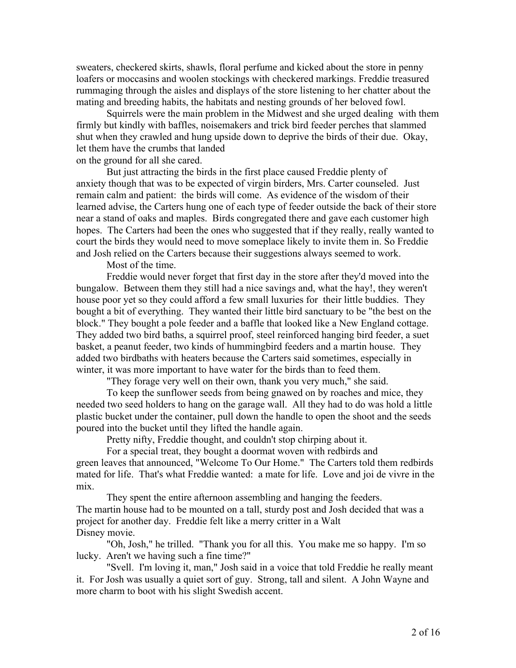sweaters, checkered skirts, shawls, floral perfume and kicked about the store in penny loafers or moccasins and woolen stockings with checkered markings. Freddie treasured rummaging through the aisles and displays of the store listening to her chatter about the mating and breeding habits, the habitats and nesting grounds of her beloved fowl.

Squirrels were the main problem in the Midwest and she urged dealing with them firmly but kindly with baffles, noisemakers and trick bird feeder perches that slammed shut when they crawled and hung upside down to deprive the birds of their due. Okay, let them have the crumbs that landed

on the ground for all she cared.

But just attracting the birds in the first place caused Freddie plenty of anxiety though that was to be expected of virgin birders, Mrs. Carter counseled. Just remain calm and patient: the birds will come. As evidence of the wisdom of their learned advise, the Carters hung one of each type of feeder outside the back of their store near a stand of oaks and maples. Birds congregated there and gave each customer high hopes. The Carters had been the ones who suggested that if they really, really wanted to court the birds they would need to move someplace likely to invite them in. So Freddie and Josh relied on the Carters because their suggestions always seemed to work.

Most of the time.

Freddie would never forget that first day in the store after they'd moved into the bungalow. Between them they still had a nice savings and, what the hay!, they weren't house poor yet so they could afford a few small luxuries for their little buddies. They bought a bit of everything. They wanted their little bird sanctuary to be "the best on the block." They bought a pole feeder and a baffle that looked like a New England cottage. They added two bird baths, a squirrel proof, steel reinforced hanging bird feeder, a suet basket, a peanut feeder, two kinds of hummingbird feeders and a martin house. They added two birdbaths with heaters because the Carters said sometimes, especially in winter, it was more important to have water for the birds than to feed them.

"They forage very well on their own, thank you very much," she said.

To keep the sunflower seeds from being gnawed on by roaches and mice, they needed two seed holders to hang on the garage wall. All they had to do was hold a little plastic bucket under the container, pull down the handle to open the shoot and the seeds poured into the bucket until they lifted the handle again.

Pretty nifty, Freddie thought, and couldn't stop chirping about it.

For a special treat, they bought a doormat woven with redbirds and green leaves that announced, "Welcome To Our Home." The Carters told them redbirds mated for life. That's what Freddie wanted: a mate for life. Love and joi de vivre in the mix.

They spent the entire afternoon assembling and hanging the feeders. The martin house had to be mounted on a tall, sturdy post and Josh decided that was a project for another day. Freddie felt like a merry critter in a Walt Disney movie.

"Oh, Josh," he trilled. "Thank you for all this. You make me so happy. I'm so lucky. Aren't we having such a fine time?"

"Svell. I'm loving it, man," Josh said in a voice that told Freddie he really meant it. For Josh was usually a quiet sort of guy. Strong, tall and silent. A John Wayne and more charm to boot with his slight Swedish accent.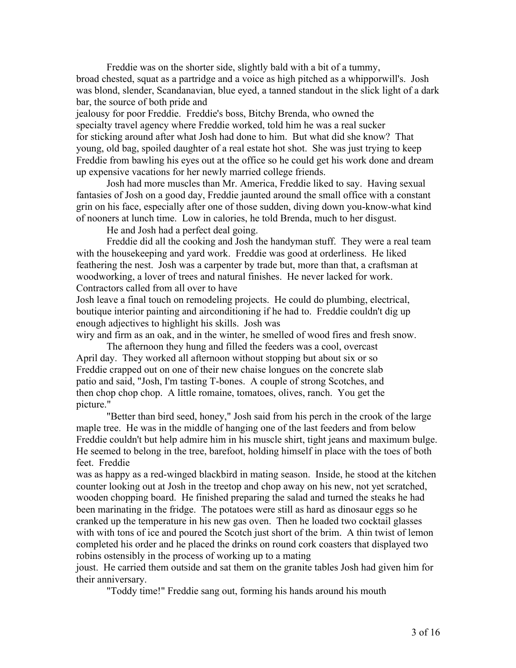Freddie was on the shorter side, slightly bald with a bit of a tummy, broad chested, squat as a partridge and a voice as high pitched as a whipporwill's. Josh was blond, slender, Scandanavian, blue eyed, a tanned standout in the slick light of a dark bar, the source of both pride and

jealousy for poor Freddie. Freddie's boss, Bitchy Brenda, who owned the specialty travel agency where Freddie worked, told him he was a real sucker for sticking around after what Josh had done to him. But what did she know? That young, old bag, spoiled daughter of a real estate hot shot. She was just trying to keep Freddie from bawling his eyes out at the office so he could get his work done and dream up expensive vacations for her newly married college friends.

Josh had more muscles than Mr. America, Freddie liked to say. Having sexual fantasies of Josh on a good day, Freddie jaunted around the small office with a constant grin on his face, especially after one of those sudden, diving down you-know-what kind of nooners at lunch time. Low in calories, he told Brenda, much to her disgust.

He and Josh had a perfect deal going.

Freddie did all the cooking and Josh the handyman stuff. They were a real team with the housekeeping and yard work. Freddie was good at orderliness. He liked feathering the nest. Josh was a carpenter by trade but, more than that, a craftsman at woodworking, a lover of trees and natural finishes. He never lacked for work. Contractors called from all over to have

Josh leave a final touch on remodeling projects. He could do plumbing, electrical, boutique interior painting and airconditioning if he had to. Freddie couldn't dig up enough adjectives to highlight his skills. Josh was

wiry and firm as an oak, and in the winter, he smelled of wood fires and fresh snow.

The afternoon they hung and filled the feeders was a cool, overcast April day. They worked all afternoon without stopping but about six or so Freddie crapped out on one of their new chaise longues on the concrete slab patio and said, "Josh, I'm tasting T-bones. A couple of strong Scotches, and then chop chop chop. A little romaine, tomatoes, olives, ranch. You get the picture."

"Better than bird seed, honey," Josh said from his perch in the crook of the large maple tree. He was in the middle of hanging one of the last feeders and from below Freddie couldn't but help admire him in his muscle shirt, tight jeans and maximum bulge. He seemed to belong in the tree, barefoot, holding himself in place with the toes of both feet. Freddie

was as happy as a red-winged blackbird in mating season. Inside, he stood at the kitchen counter looking out at Josh in the treetop and chop away on his new, not yet scratched, wooden chopping board. He finished preparing the salad and turned the steaks he had been marinating in the fridge. The potatoes were still as hard as dinosaur eggs so he cranked up the temperature in his new gas oven. Then he loaded two cocktail glasses with with tons of ice and poured the Scotch just short of the brim. A thin twist of lemon completed his order and he placed the drinks on round cork coasters that displayed two robins ostensibly in the process of working up to a mating

joust. He carried them outside and sat them on the granite tables Josh had given him for their anniversary.

"Toddy time!" Freddie sang out, forming his hands around his mouth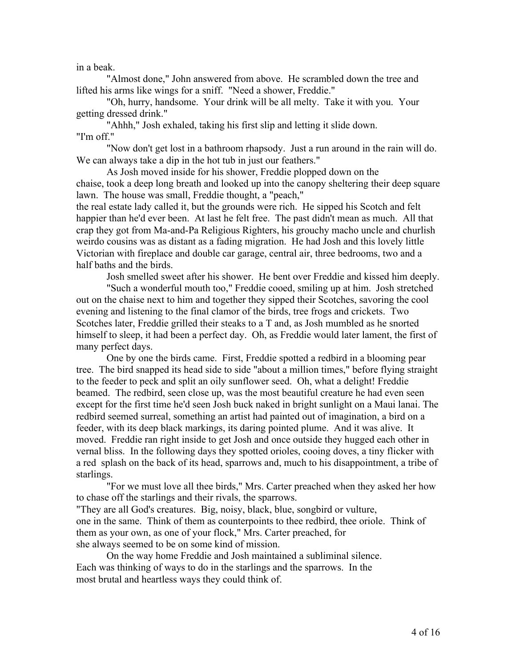in a beak.

"Almost done," John answered from above. He scrambled down the tree and lifted his arms like wings for a sniff. "Need a shower, Freddie."

"Oh, hurry, handsome. Your drink will be all melty. Take it with you. Your getting dressed drink."

"Ahhh," Josh exhaled, taking his first slip and letting it slide down. "I'm off."

"Now don't get lost in a bathroom rhapsody. Just a run around in the rain will do. We can always take a dip in the hot tub in just our feathers."

As Josh moved inside for his shower, Freddie plopped down on the chaise, took a deep long breath and looked up into the canopy sheltering their deep square lawn. The house was small, Freddie thought, a "peach,"

the real estate lady called it, but the grounds were rich. He sipped his Scotch and felt happier than he'd ever been. At last he felt free. The past didn't mean as much. All that crap they got from Ma-and-Pa Religious Righters, his grouchy macho uncle and churlish weirdo cousins was as distant as a fading migration. He had Josh and this lovely little Victorian with fireplace and double car garage, central air, three bedrooms, two and a half baths and the birds.

Josh smelled sweet after his shower. He bent over Freddie and kissed him deeply.

"Such a wonderful mouth too," Freddie cooed, smiling up at him. Josh stretched out on the chaise next to him and together they sipped their Scotches, savoring the cool evening and listening to the final clamor of the birds, tree frogs and crickets. Two Scotches later, Freddie grilled their steaks to a T and, as Josh mumbled as he snorted himself to sleep, it had been a perfect day. Oh, as Freddie would later lament, the first of many perfect days.

One by one the birds came. First, Freddie spotted a redbird in a blooming pear tree. The bird snapped its head side to side "about a million times," before flying straight to the feeder to peck and split an oily sunflower seed. Oh, what a delight! Freddie beamed. The redbird, seen close up, was the most beautiful creature he had even seen except for the first time he'd seen Josh buck naked in bright sunlight on a Maui lanai. The redbird seemed surreal, something an artist had painted out of imagination, a bird on a feeder, with its deep black markings, its daring pointed plume. And it was alive. It moved. Freddie ran right inside to get Josh and once outside they hugged each other in vernal bliss. In the following days they spotted orioles, cooing doves, a tiny flicker with a red splash on the back of its head, sparrows and, much to his disappointment, a tribe of starlings.

"For we must love all thee birds," Mrs. Carter preached when they asked her how to chase off the starlings and their rivals, the sparrows.

"They are all God's creatures. Big, noisy, black, blue, songbird or vulture, one in the same. Think of them as counterpoints to thee redbird, thee oriole. Think of them as your own, as one of your flock," Mrs. Carter preached, for she always seemed to be on some kind of mission.

On the way home Freddie and Josh maintained a subliminal silence. Each was thinking of ways to do in the starlings and the sparrows. In the most brutal and heartless ways they could think of.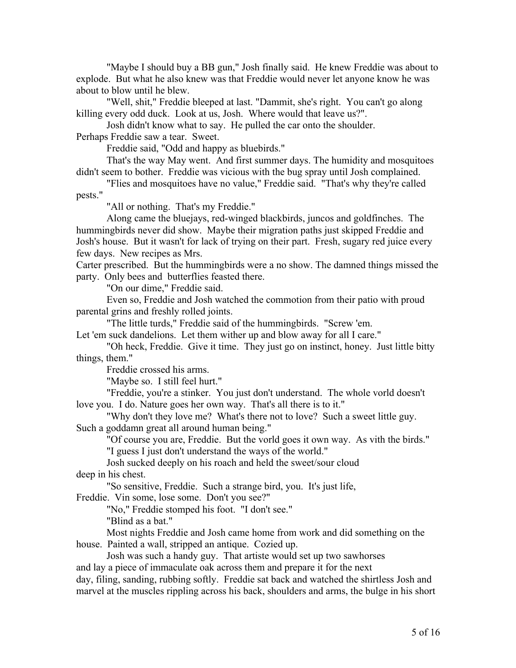"Maybe I should buy a BB gun," Josh finally said. He knew Freddie was about to explode. But what he also knew was that Freddie would never let anyone know he was about to blow until he blew.

"Well, shit," Freddie bleeped at last. "Dammit, she's right. You can't go along killing every odd duck. Look at us, Josh. Where would that leave us?".

Josh didn't know what to say. He pulled the car onto the shoulder. Perhaps Freddie saw a tear. Sweet.

Freddie said, "Odd and happy as bluebirds."

That's the way May went. And first summer days. The humidity and mosquitoes didn't seem to bother. Freddie was vicious with the bug spray until Josh complained.

"Flies and mosquitoes have no value," Freddie said. "That's why they're called pests."

"All or nothing. That's my Freddie."

Along came the bluejays, red-winged blackbirds, juncos and goldfinches. The hummingbirds never did show. Maybe their migration paths just skipped Freddie and Josh's house. But it wasn't for lack of trying on their part. Fresh, sugary red juice every few days. New recipes as Mrs.

Carter prescribed. But the hummingbirds were a no show. The damned things missed the party. Only bees and butterflies feasted there.

"On our dime," Freddie said.

Even so, Freddie and Josh watched the commotion from their patio with proud parental grins and freshly rolled joints.

"The little turds," Freddie said of the hummingbirds. "Screw 'em. Let 'em suck dandelions. Let them wither up and blow away for all I care."

"Oh heck, Freddie. Give it time. They just go on instinct, honey. Just little bitty things, them."

Freddie crossed his arms.

"Maybe so. I still feel hurt."

"Freddie, you're a stinker. You just don't understand. The whole vorld doesn't love you. I do. Nature goes her own way. That's all there is to it."

"Why don't they love me? What's there not to love? Such a sweet little guy. Such a goddamn great all around human being."

"Of course you are, Freddie. But the vorld goes it own way. As vith the birds." "I guess I just don't understand the ways of the world."

Josh sucked deeply on his roach and held the sweet/sour cloud

deep in his chest.

"So sensitive, Freddie. Such a strange bird, you. It's just life,

Freddie. Vin some, lose some. Don't you see?"

"No," Freddie stomped his foot. "I don't see."

"Blind as a bat."

Most nights Freddie and Josh came home from work and did something on the house. Painted a wall, stripped an antique. Cozied up.

Josh was such a handy guy. That artiste would set up two sawhorses

and lay a piece of immaculate oak across them and prepare it for the next

day, filing, sanding, rubbing softly. Freddie sat back and watched the shirtless Josh and marvel at the muscles rippling across his back, shoulders and arms, the bulge in his short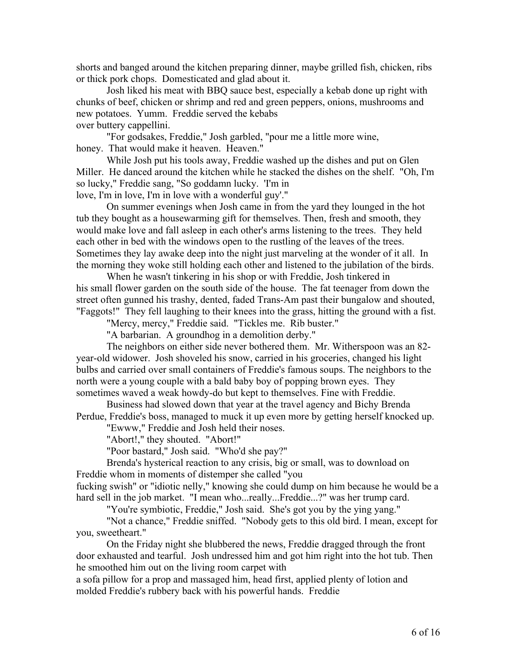shorts and banged around the kitchen preparing dinner, maybe grilled fish, chicken, ribs or thick pork chops. Domesticated and glad about it.

Josh liked his meat with BBQ sauce best, especially a kebab done up right with chunks of beef, chicken or shrimp and red and green peppers, onions, mushrooms and new potatoes. Yumm. Freddie served the kebabs over buttery cappellini.

"For godsakes, Freddie," Josh garbled, "pour me a little more wine, honey. That would make it heaven. Heaven."

While Josh put his tools away, Freddie washed up the dishes and put on Glen Miller. He danced around the kitchen while he stacked the dishes on the shelf. "Oh, I'm so lucky," Freddie sang, "So goddamn lucky. 'I'm in love, I'm in love, I'm in love with a wonderful guy'."

On summer evenings when Josh came in from the yard they lounged in the hot tub they bought as a housewarming gift for themselves. Then, fresh and smooth, they would make love and fall asleep in each other's arms listening to the trees. They held each other in bed with the windows open to the rustling of the leaves of the trees. Sometimes they lay awake deep into the night just marveling at the wonder of it all. In the morning they woke still holding each other and listened to the jubilation of the birds.

When he wasn't tinkering in his shop or with Freddie, Josh tinkered in his small flower garden on the south side of the house. The fat teenager from down the street often gunned his trashy, dented, faded Trans-Am past their bungalow and shouted, "Faggots!" They fell laughing to their knees into the grass, hitting the ground with a fist.

"Mercy, mercy," Freddie said. "Tickles me. Rib buster."

"A barbarian. A groundhog in a demolition derby."

The neighbors on either side never bothered them. Mr. Witherspoon was an 82 year-old widower. Josh shoveled his snow, carried in his groceries, changed his light bulbs and carried over small containers of Freddie's famous soups. The neighbors to the north were a young couple with a bald baby boy of popping brown eyes. They sometimes waved a weak howdy-do but kept to themselves. Fine with Freddie.

Business had slowed down that year at the travel agency and Bichy Brenda Perdue, Freddie's boss, managed to muck it up even more by getting herself knocked up.

"Ewww," Freddie and Josh held their noses.

"Abort!," they shouted. "Abort!"

"Poor bastard," Josh said. "Who'd she pay?"

Brenda's hysterical reaction to any crisis, big or small, was to download on Freddie whom in moments of distemper she called "you

fucking swish" or "idiotic nelly," knowing she could dump on him because he would be a hard sell in the job market. "I mean who...really...Freddie...?" was her trump card.

"You're symbiotic, Freddie," Josh said. She's got you by the ying yang."

"Not a chance," Freddie sniffed. "Nobody gets to this old bird. I mean, except for you, sweetheart."

On the Friday night she blubbered the news, Freddie dragged through the front door exhausted and tearful. Josh undressed him and got him right into the hot tub. Then he smoothed him out on the living room carpet with

a sofa pillow for a prop and massaged him, head first, applied plenty of lotion and molded Freddie's rubbery back with his powerful hands. Freddie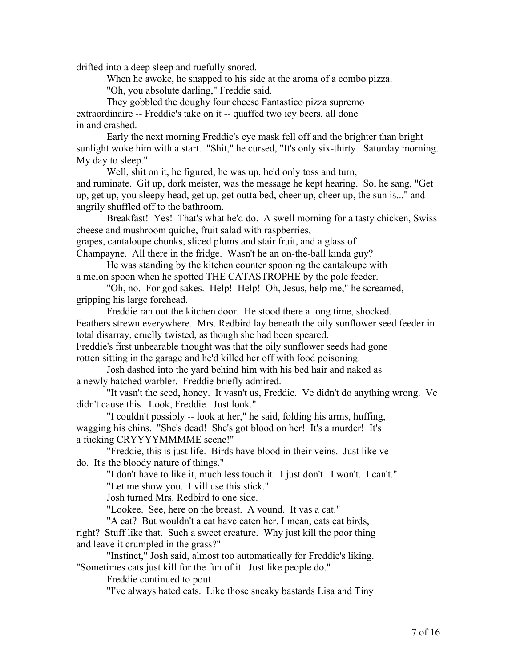drifted into a deep sleep and ruefully snored.

When he awoke, he snapped to his side at the aroma of a combo pizza. "Oh, you absolute darling," Freddie said.

They gobbled the doughy four cheese Fantastico pizza supremo

extraordinaire -- Freddie's take on it -- quaffed two icy beers, all done in and crashed.

Early the next morning Freddie's eye mask fell off and the brighter than bright sunlight woke him with a start. "Shit," he cursed, "It's only six-thirty. Saturday morning. My day to sleep."

Well, shit on it, he figured, he was up, he'd only toss and turn, and ruminate. Git up, dork meister, was the message he kept hearing. So, he sang, "Get up, get up, you sleepy head, get up, get outta bed, cheer up, cheer up, the sun is..." and angrily shuffled off to the bathroom.

Breakfast! Yes! That's what he'd do. A swell morning for a tasty chicken, Swiss cheese and mushroom quiche, fruit salad with raspberries,

grapes, cantaloupe chunks, sliced plums and stair fruit, and a glass of

Champayne. All there in the fridge. Wasn't he an on-the-ball kinda guy?

He was standing by the kitchen counter spooning the cantaloupe with a melon spoon when he spotted THE CATASTROPHE by the pole feeder.

"Oh, no. For god sakes. Help! Help! Oh, Jesus, help me," he screamed, gripping his large forehead.

Freddie ran out the kitchen door. He stood there a long time, shocked. Feathers strewn everywhere. Mrs. Redbird lay beneath the oily sunflower seed feeder in total disarray, cruelly twisted, as though she had been speared.

Freddie's first unbearable thought was that the oily sunflower seeds had gone rotten sitting in the garage and he'd killed her off with food poisoning.

Josh dashed into the yard behind him with his bed hair and naked as a newly hatched warbler. Freddie briefly admired.

"It vasn't the seed, honey. It vasn't us, Freddie. Ve didn't do anything wrong. Ve didn't cause this. Look, Freddie. Just look."

"I couldn't possibly -- look at her," he said, folding his arms, huffing, wagging his chins. "She's dead! She's got blood on her! It's a murder! It's a fucking CRYYYYMMMME scene!"

"Freddie, this is just life. Birds have blood in their veins. Just like ve do. It's the bloody nature of things."

"I don't have to like it, much less touch it. I just don't. I won't. I can't." "Let me show you. I vill use this stick."

Josh turned Mrs. Redbird to one side.

"Lookee. See, here on the breast. A vound. It vas a cat."

"A cat? But wouldn't a cat have eaten her. I mean, cats eat birds,

right? Stuff like that. Such a sweet creature. Why just kill the poor thing and leave it crumpled in the grass?"

"Instinct," Josh said, almost too automatically for Freddie's liking. "Sometimes cats just kill for the fun of it. Just like people do."

Freddie continued to pout.

"I've always hated cats. Like those sneaky bastards Lisa and Tiny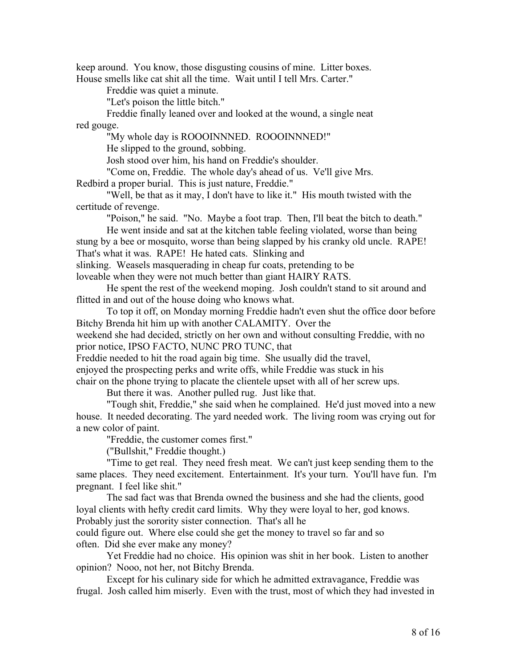keep around. You know, those disgusting cousins of mine. Litter boxes. House smells like cat shit all the time. Wait until I tell Mrs. Carter."

Freddie was quiet a minute.

"Let's poison the little bitch."

Freddie finally leaned over and looked at the wound, a single neat red gouge.

"My whole day is ROOOINNNED. ROOOINNNED!"

He slipped to the ground, sobbing.

Josh stood over him, his hand on Freddie's shoulder.

"Come on, Freddie. The whole day's ahead of us. Ve'll give Mrs.

Redbird a proper burial. This is just nature, Freddie."

"Well, be that as it may, I don't have to like it." His mouth twisted with the certitude of revenge.

"Poison," he said. "No. Maybe a foot trap. Then, I'll beat the bitch to death."

He went inside and sat at the kitchen table feeling violated, worse than being stung by a bee or mosquito, worse than being slapped by his cranky old uncle. RAPE! That's what it was. RAPE! He hated cats. Slinking and

slinking. Weasels masquerading in cheap fur coats, pretending to be

loveable when they were not much better than giant HAIRY RATS.

He spent the rest of the weekend moping. Josh couldn't stand to sit around and flitted in and out of the house doing who knows what.

To top it off, on Monday morning Freddie hadn't even shut the office door before Bitchy Brenda hit him up with another CALAMITY. Over the

weekend she had decided, strictly on her own and without consulting Freddie, with no prior notice, IPSO FACTO, NUNC PRO TUNC, that

Freddie needed to hit the road again big time. She usually did the travel,

enjoyed the prospecting perks and write offs, while Freddie was stuck in his

chair on the phone trying to placate the clientele upset with all of her screw ups.

But there it was. Another pulled rug. Just like that.

"Tough shit, Freddie," she said when he complained. He'd just moved into a new house. It needed decorating. The yard needed work. The living room was crying out for a new color of paint.

"Freddie, the customer comes first."

("Bullshit," Freddie thought.)

"Time to get real. They need fresh meat. We can't just keep sending them to the same places. They need excitement. Entertainment. It's your turn. You'll have fun. I'm pregnant. I feel like shit."

The sad fact was that Brenda owned the business and she had the clients, good loyal clients with hefty credit card limits. Why they were loyal to her, god knows. Probably just the sorority sister connection. That's all he

could figure out. Where else could she get the money to travel so far and so often. Did she ever make any money?

Yet Freddie had no choice. His opinion was shit in her book. Listen to another opinion? Nooo, not her, not Bitchy Brenda.

Except for his culinary side for which he admitted extravagance, Freddie was frugal. Josh called him miserly. Even with the trust, most of which they had invested in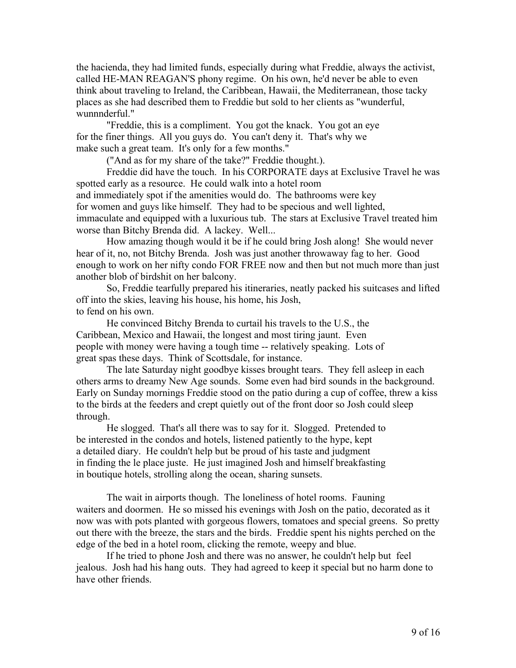the hacienda, they had limited funds, especially during what Freddie, always the activist, called HE-MAN REAGAN'S phony regime. On his own, he'd never be able to even think about traveling to Ireland, the Caribbean, Hawaii, the Mediterranean, those tacky places as she had described them to Freddie but sold to her clients as "wunderful, wunnnderful."

"Freddie, this is a compliment. You got the knack. You got an eye for the finer things. All you guys do. You can't deny it. That's why we make such a great team. It's only for a few months."

("And as for my share of the take?" Freddie thought.).

Freddie did have the touch. In his CORPORATE days at Exclusive Travel he was spotted early as a resource. He could walk into a hotel room and immediately spot if the amenities would do. The bathrooms were key for women and guys like himself. They had to be specious and well lighted, immaculate and equipped with a luxurious tub. The stars at Exclusive Travel treated him worse than Bitchy Brenda did. A lackey. Well...

How amazing though would it be if he could bring Josh along! She would never hear of it, no, not Bitchy Brenda. Josh was just another throwaway fag to her. Good enough to work on her nifty condo FOR FREE now and then but not much more than just another blob of birdshit on her balcony.

So, Freddie tearfully prepared his itineraries, neatly packed his suitcases and lifted off into the skies, leaving his house, his home, his Josh, to fend on his own.

He convinced Bitchy Brenda to curtail his travels to the U.S., the Caribbean, Mexico and Hawaii, the longest and most tiring jaunt. Even people with money were having a tough time -- relatively speaking. Lots of great spas these days. Think of Scottsdale, for instance.

The late Saturday night goodbye kisses brought tears. They fell asleep in each others arms to dreamy New Age sounds. Some even had bird sounds in the background. Early on Sunday mornings Freddie stood on the patio during a cup of coffee, threw a kiss to the birds at the feeders and crept quietly out of the front door so Josh could sleep through.

He slogged. That's all there was to say for it. Slogged. Pretended to be interested in the condos and hotels, listened patiently to the hype, kept a detailed diary. He couldn't help but be proud of his taste and judgment in finding the le place juste. He just imagined Josh and himself breakfasting in boutique hotels, strolling along the ocean, sharing sunsets.

The wait in airports though. The loneliness of hotel rooms. Fauning waiters and doormen. He so missed his evenings with Josh on the patio, decorated as it now was with pots planted with gorgeous flowers, tomatoes and special greens. So pretty out there with the breeze, the stars and the birds. Freddie spent his nights perched on the edge of the bed in a hotel room, clicking the remote, weepy and blue.

If he tried to phone Josh and there was no answer, he couldn't help but feel jealous. Josh had his hang outs. They had agreed to keep it special but no harm done to have other friends.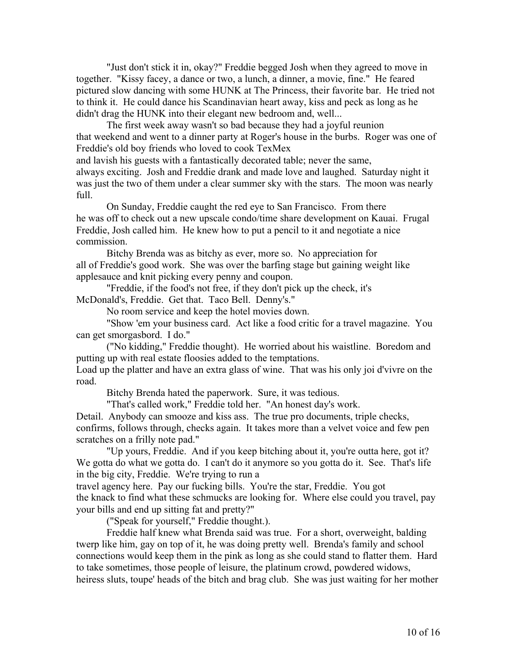"Just don't stick it in, okay?" Freddie begged Josh when they agreed to move in together. "Kissy facey, a dance or two, a lunch, a dinner, a movie, fine." He feared pictured slow dancing with some HUNK at The Princess, their favorite bar. He tried not to think it. He could dance his Scandinavian heart away, kiss and peck as long as he didn't drag the HUNK into their elegant new bedroom and, well...

The first week away wasn't so bad because they had a joyful reunion that weekend and went to a dinner party at Roger's house in the burbs. Roger was one of Freddie's old boy friends who loved to cook TexMex

and lavish his guests with a fantastically decorated table; never the same,

always exciting. Josh and Freddie drank and made love and laughed. Saturday night it was just the two of them under a clear summer sky with the stars. The moon was nearly full.

On Sunday, Freddie caught the red eye to San Francisco. From there he was off to check out a new upscale condo/time share development on Kauai. Frugal Freddie, Josh called him. He knew how to put a pencil to it and negotiate a nice commission.

Bitchy Brenda was as bitchy as ever, more so. No appreciation for all of Freddie's good work. She was over the barfing stage but gaining weight like applesauce and knit picking every penny and coupon.

"Freddie, if the food's not free, if they don't pick up the check, it's McDonald's, Freddie. Get that. Taco Bell. Denny's."

No room service and keep the hotel movies down.

"Show 'em your business card. Act like a food critic for a travel magazine. You can get smorgasbord. I do."

("No kidding," Freddie thought). He worried about his waistline. Boredom and putting up with real estate floosies added to the temptations.

Load up the platter and have an extra glass of wine. That was his only joi d'vivre on the road.

Bitchy Brenda hated the paperwork. Sure, it was tedious.

"That's called work," Freddie told her. "An honest day's work.

Detail. Anybody can smooze and kiss ass. The true pro documents, triple checks, confirms, follows through, checks again. It takes more than a velvet voice and few pen scratches on a frilly note pad."

"Up yours, Freddie. And if you keep bitching about it, you're outta here, got it? We gotta do what we gotta do. I can't do it anymore so you gotta do it. See. That's life in the big city, Freddie. We're trying to run a

travel agency here. Pay our fucking bills. You're the star, Freddie. You got the knack to find what these schmucks are looking for. Where else could you travel, pay your bills and end up sitting fat and pretty?"

("Speak for yourself," Freddie thought.).

Freddie half knew what Brenda said was true. For a short, overweight, balding twerp like him, gay on top of it, he was doing pretty well. Brenda's family and school connections would keep them in the pink as long as she could stand to flatter them. Hard to take sometimes, those people of leisure, the platinum crowd, powdered widows, heiress sluts, toupe' heads of the bitch and brag club. She was just waiting for her mother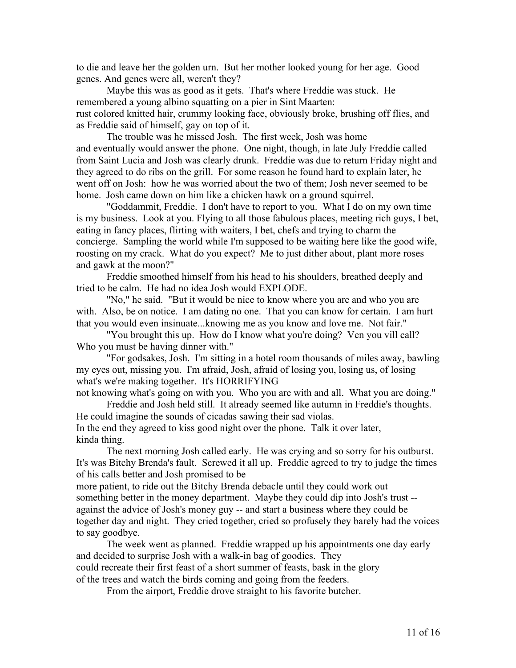to die and leave her the golden urn. But her mother looked young for her age. Good genes. And genes were all, weren't they?

Maybe this was as good as it gets. That's where Freddie was stuck. He remembered a young albino squatting on a pier in Sint Maarten: rust colored knitted hair, crummy looking face, obviously broke, brushing off flies, and as Freddie said of himself, gay on top of it.

The trouble was he missed Josh. The first week, Josh was home and eventually would answer the phone. One night, though, in late July Freddie called from Saint Lucia and Josh was clearly drunk. Freddie was due to return Friday night and they agreed to do ribs on the grill. For some reason he found hard to explain later, he went off on Josh: how he was worried about the two of them; Josh never seemed to be home. Josh came down on him like a chicken hawk on a ground squirrel.

"Goddammit, Freddie. I don't have to report to you. What I do on my own time is my business. Look at you. Flying to all those fabulous places, meeting rich guys, I bet, eating in fancy places, flirting with waiters, I bet, chefs and trying to charm the concierge. Sampling the world while I'm supposed to be waiting here like the good wife, roosting on my crack. What do you expect? Me to just dither about, plant more roses and gawk at the moon?"

Freddie smoothed himself from his head to his shoulders, breathed deeply and tried to be calm. He had no idea Josh would EXPLODE.

"No," he said. "But it would be nice to know where you are and who you are with. Also, be on notice. I am dating no one. That you can know for certain. I am hurt that you would even insinuate...knowing me as you know and love me. Not fair."

"You brought this up. How do I know what you're doing? Ven you vill call? Who you must be having dinner with."

"For godsakes, Josh. I'm sitting in a hotel room thousands of miles away, bawling my eyes out, missing you. I'm afraid, Josh, afraid of losing you, losing us, of losing what's we're making together. It's HORRIFYING

not knowing what's going on with you. Who you are with and all. What you are doing." Freddie and Josh held still. It already seemed like autumn in Freddie's thoughts.

He could imagine the sounds of cicadas sawing their sad violas.

In the end they agreed to kiss good night over the phone. Talk it over later, kinda thing.

The next morning Josh called early. He was crying and so sorry for his outburst. It's was Bitchy Brenda's fault. Screwed it all up. Freddie agreed to try to judge the times of his calls better and Josh promised to be

more patient, to ride out the Bitchy Brenda debacle until they could work out something better in the money department. Maybe they could dip into Josh's trust - against the advice of Josh's money guy -- and start a business where they could be together day and night. They cried together, cried so profusely they barely had the voices to say goodbye.

The week went as planned. Freddie wrapped up his appointments one day early and decided to surprise Josh with a walk-in bag of goodies. They could recreate their first feast of a short summer of feasts, bask in the glory of the trees and watch the birds coming and going from the feeders.

From the airport, Freddie drove straight to his favorite butcher.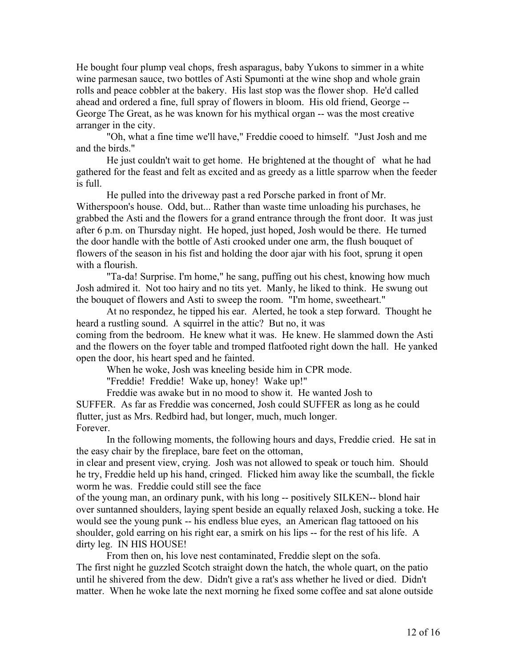He bought four plump veal chops, fresh asparagus, baby Yukons to simmer in a white wine parmesan sauce, two bottles of Asti Spumonti at the wine shop and whole grain rolls and peace cobbler at the bakery. His last stop was the flower shop. He'd called ahead and ordered a fine, full spray of flowers in bloom. His old friend, George -- George The Great, as he was known for his mythical organ -- was the most creative arranger in the city.

"Oh, what a fine time we'll have," Freddie cooed to himself. "Just Josh and me and the birds."

He just couldn't wait to get home. He brightened at the thought of what he had gathered for the feast and felt as excited and as greedy as a little sparrow when the feeder is full.

He pulled into the driveway past a red Porsche parked in front of Mr. Witherspoon's house. Odd, but... Rather than waste time unloading his purchases, he grabbed the Asti and the flowers for a grand entrance through the front door. It was just after 6 p.m. on Thursday night. He hoped, just hoped, Josh would be there. He turned the door handle with the bottle of Asti crooked under one arm, the flush bouquet of flowers of the season in his fist and holding the door ajar with his foot, sprung it open with a flourish.

"Ta-da! Surprise. I'm home," he sang, puffing out his chest, knowing how much Josh admired it. Not too hairy and no tits yet. Manly, he liked to think. He swung out the bouquet of flowers and Asti to sweep the room. "I'm home, sweetheart."

At no respondez, he tipped his ear. Alerted, he took a step forward. Thought he heard a rustling sound. A squirrel in the attic? But no, it was coming from the bedroom. He knew what it was. He knew. He slammed down the Asti and the flowers on the foyer table and tromped flatfooted right down the hall. He yanked open the door, his heart sped and he fainted.

When he woke, Josh was kneeling beside him in CPR mode.

"Freddie! Freddie! Wake up, honey! Wake up!"

Freddie was awake but in no mood to show it. He wanted Josh to SUFFER. As far as Freddie was concerned, Josh could SUFFER as long as he could flutter, just as Mrs. Redbird had, but longer, much, much longer. Forever.

In the following moments, the following hours and days, Freddie cried. He sat in the easy chair by the fireplace, bare feet on the ottoman,

in clear and present view, crying. Josh was not allowed to speak or touch him. Should he try, Freddie held up his hand, cringed. Flicked him away like the scumball, the fickle worm he was. Freddie could still see the face

of the young man, an ordinary punk, with his long -- positively SILKEN-- blond hair over suntanned shoulders, laying spent beside an equally relaxed Josh, sucking a toke. He would see the young punk -- his endless blue eyes, an American flag tattooed on his shoulder, gold earring on his right ear, a smirk on his lips -- for the rest of his life. A dirty leg. IN HIS HOUSE!

From then on, his love nest contaminated, Freddie slept on the sofa. The first night he guzzled Scotch straight down the hatch, the whole quart, on the patio until he shivered from the dew. Didn't give a rat's ass whether he lived or died. Didn't matter. When he woke late the next morning he fixed some coffee and sat alone outside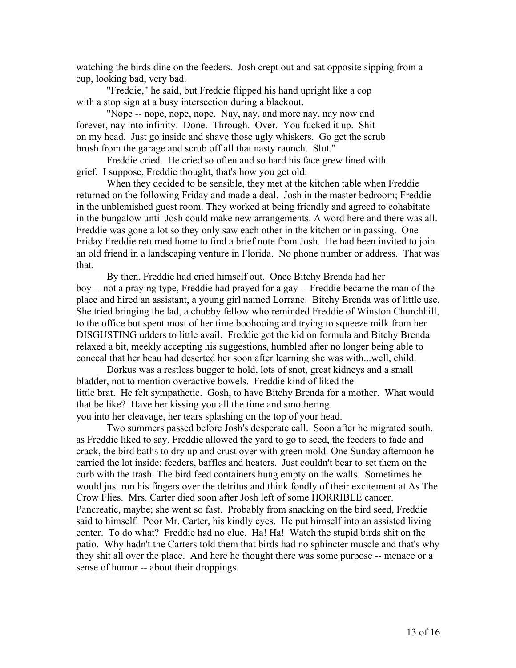watching the birds dine on the feeders. Josh crept out and sat opposite sipping from a cup, looking bad, very bad.

"Freddie," he said, but Freddie flipped his hand upright like a cop with a stop sign at a busy intersection during a blackout.

"Nope -- nope, nope, nope. Nay, nay, and more nay, nay now and forever, nay into infinity. Done. Through. Over. You fucked it up. Shit on my head. Just go inside and shave those ugly whiskers. Go get the scrub brush from the garage and scrub off all that nasty raunch. Slut."

Freddie cried. He cried so often and so hard his face grew lined with grief. I suppose, Freddie thought, that's how you get old.

When they decided to be sensible, they met at the kitchen table when Freddie returned on the following Friday and made a deal. Josh in the master bedroom; Freddie in the unblemished guest room. They worked at being friendly and agreed to cohabitate in the bungalow until Josh could make new arrangements. A word here and there was all. Freddie was gone a lot so they only saw each other in the kitchen or in passing. One Friday Freddie returned home to find a brief note from Josh. He had been invited to join an old friend in a landscaping venture in Florida. No phone number or address. That was that.

By then, Freddie had cried himself out. Once Bitchy Brenda had her boy -- not a praying type, Freddie had prayed for a gay -- Freddie became the man of the place and hired an assistant, a young girl named Lorrane. Bitchy Brenda was of little use. She tried bringing the lad, a chubby fellow who reminded Freddie of Winston Churchhill, to the office but spent most of her time boohooing and trying to squeeze milk from her DISGUSTING udders to little avail. Freddie got the kid on formula and Bitchy Brenda relaxed a bit, meekly accepting his suggestions, humbled after no longer being able to conceal that her beau had deserted her soon after learning she was with...well, child.

Dorkus was a restless bugger to hold, lots of snot, great kidneys and a small bladder, not to mention overactive bowels. Freddie kind of liked the little brat. He felt sympathetic. Gosh, to have Bitchy Brenda for a mother. What would that be like? Have her kissing you all the time and smothering you into her cleavage, her tears splashing on the top of your head.

Two summers passed before Josh's desperate call. Soon after he migrated south, as Freddie liked to say, Freddie allowed the yard to go to seed, the feeders to fade and crack, the bird baths to dry up and crust over with green mold. One Sunday afternoon he carried the lot inside: feeders, baffles and heaters. Just couldn't bear to set them on the curb with the trash. The bird feed containers hung empty on the walls. Sometimes he would just run his fingers over the detritus and think fondly of their excitement at As The Crow Flies. Mrs. Carter died soon after Josh left of some HORRIBLE cancer. Pancreatic, maybe; she went so fast. Probably from snacking on the bird seed, Freddie said to himself. Poor Mr. Carter, his kindly eyes. He put himself into an assisted living center. To do what? Freddie had no clue. Ha! Ha! Watch the stupid birds shit on the patio. Why hadn't the Carters told them that birds had no sphincter muscle and that's why they shit all over the place. And here he thought there was some purpose -- menace or a sense of humor -- about their droppings.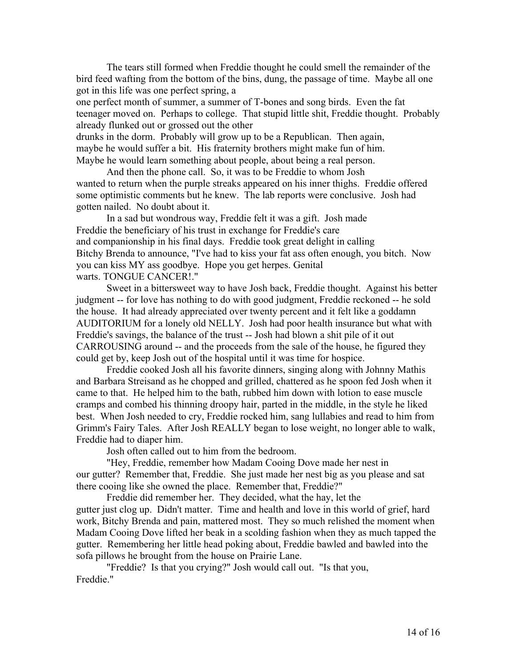The tears still formed when Freddie thought he could smell the remainder of the bird feed wafting from the bottom of the bins, dung, the passage of time. Maybe all one got in this life was one perfect spring, a

one perfect month of summer, a summer of T-bones and song birds. Even the fat teenager moved on. Perhaps to college. That stupid little shit, Freddie thought. Probably already flunked out or grossed out the other

drunks in the dorm. Probably will grow up to be a Republican. Then again, maybe he would suffer a bit. His fraternity brothers might make fun of him. Maybe he would learn something about people, about being a real person.

And then the phone call. So, it was to be Freddie to whom Josh wanted to return when the purple streaks appeared on his inner thighs. Freddie offered some optimistic comments but he knew. The lab reports were conclusive. Josh had gotten nailed. No doubt about it.

In a sad but wondrous way, Freddie felt it was a gift. Josh made Freddie the beneficiary of his trust in exchange for Freddie's care and companionship in his final days. Freddie took great delight in calling Bitchy Brenda to announce, "I've had to kiss your fat ass often enough, you bitch. Now you can kiss MY ass goodbye. Hope you get herpes. Genital warts. TONGUE CANCER!."

Sweet in a bittersweet way to have Josh back, Freddie thought. Against his better judgment -- for love has nothing to do with good judgment, Freddie reckoned -- he sold the house. It had already appreciated over twenty percent and it felt like a goddamn AUDITORIUM for a lonely old NELLY. Josh had poor health insurance but what with Freddie's savings, the balance of the trust -- Josh had blown a shit pile of it out CARROUSING around -- and the proceeds from the sale of the house, he figured they could get by, keep Josh out of the hospital until it was time for hospice.

Freddie cooked Josh all his favorite dinners, singing along with Johnny Mathis and Barbara Streisand as he chopped and grilled, chattered as he spoon fed Josh when it came to that. He helped him to the bath, rubbed him down with lotion to ease muscle cramps and combed his thinning droopy hair, parted in the middle, in the style he liked best. When Josh needed to cry, Freddie rocked him, sang lullabies and read to him from Grimm's Fairy Tales. After Josh REALLY began to lose weight, no longer able to walk, Freddie had to diaper him.

Josh often called out to him from the bedroom.

"Hey, Freddie, remember how Madam Cooing Dove made her nest in our gutter? Remember that, Freddie. She just made her nest big as you please and sat there cooing like she owned the place. Remember that, Freddie?"

Freddie did remember her. They decided, what the hay, let the gutter just clog up. Didn't matter. Time and health and love in this world of grief, hard work, Bitchy Brenda and pain, mattered most. They so much relished the moment when Madam Cooing Dove lifted her beak in a scolding fashion when they as much tapped the gutter. Remembering her little head poking about, Freddie bawled and bawled into the sofa pillows he brought from the house on Prairie Lane.

"Freddie? Is that you crying?" Josh would call out. "Is that you, Freddie."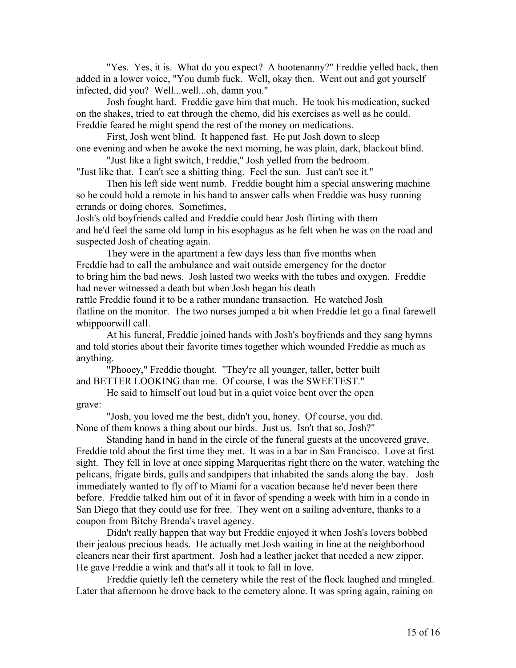"Yes. Yes, it is. What do you expect? A hootenanny?" Freddie yelled back, then added in a lower voice, "You dumb fuck. Well, okay then. Went out and got yourself infected, did you? Well...well...oh, damn you."

Josh fought hard. Freddie gave him that much. He took his medication, sucked on the shakes, tried to eat through the chemo, did his exercises as well as he could. Freddie feared he might spend the rest of the money on medications.

First, Josh went blind. It happened fast. He put Josh down to sleep one evening and when he awoke the next morning, he was plain, dark, blackout blind.

"Just like a light switch, Freddie," Josh yelled from the bedroom. "Just like that. I can't see a shitting thing. Feel the sun. Just can't see it."

Then his left side went numb. Freddie bought him a special answering machine so he could hold a remote in his hand to answer calls when Freddie was busy running errands or doing chores. Sometimes,

Josh's old boyfriends called and Freddie could hear Josh flirting with them and he'd feel the same old lump in his esophagus as he felt when he was on the road and suspected Josh of cheating again.

They were in the apartment a few days less than five months when Freddie had to call the ambulance and wait outside emergency for the doctor to bring him the bad news. Josh lasted two weeks with the tubes and oxygen. Freddie had never witnessed a death but when Josh began his death rattle Freddie found it to be a rather mundane transaction. He watched Josh

flatline on the monitor. The two nurses jumped a bit when Freddie let go a final farewell whippoorwill call.

At his funeral, Freddie joined hands with Josh's boyfriends and they sang hymns and told stories about their favorite times together which wounded Freddie as much as anything.

"Phooey," Freddie thought. "They're all younger, taller, better built and BETTER LOOKING than me. Of course, I was the SWEETEST."

He said to himself out loud but in a quiet voice bent over the open grave:

"Josh, you loved me the best, didn't you, honey. Of course, you did. None of them knows a thing about our birds. Just us. Isn't that so, Josh?"

Standing hand in hand in the circle of the funeral guests at the uncovered grave, Freddie told about the first time they met. It was in a bar in San Francisco. Love at first sight. They fell in love at once sipping Marqueritas right there on the water, watching the pelicans, frigate birds, gulls and sandpipers that inhabited the sands along the bay. Josh immediately wanted to fly off to Miami for a vacation because he'd never been there before. Freddie talked him out of it in favor of spending a week with him in a condo in San Diego that they could use for free. They went on a sailing adventure, thanks to a coupon from Bitchy Brenda's travel agency.

Didn't really happen that way but Freddie enjoyed it when Josh's lovers bobbed their jealous precious heads. He actually met Josh waiting in line at the neighborhood cleaners near their first apartment. Josh had a leather jacket that needed a new zipper. He gave Freddie a wink and that's all it took to fall in love.

Freddie quietly left the cemetery while the rest of the flock laughed and mingled. Later that afternoon he drove back to the cemetery alone. It was spring again, raining on